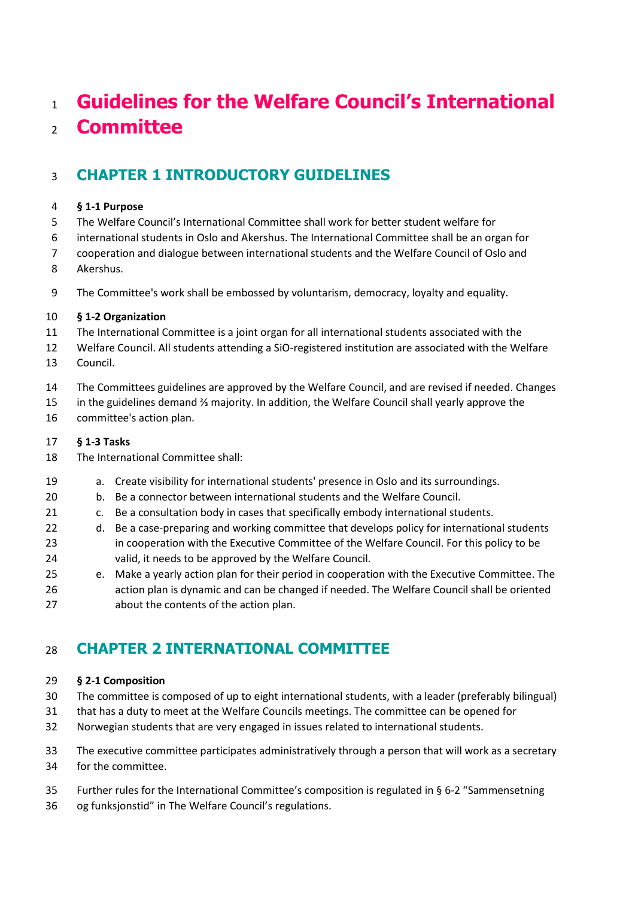# **Guidelines for the Welfare Council's International Committee**

# **CHAPTER 1 INTRODUCTORY GUIDELINES**

#### **§ 1-1 Purpose**

- The Welfare Council's International Committee shall work for better student welfare for
- international students in Oslo and Akershus. The International Committee shall be an organ for
- cooperation and dialogue between international students and the Welfare Council of Oslo and
- Akershus.
- The Committee's work shall be embossed by voluntarism, democracy, loyalty and equality.

#### **§ 1-2 Organization**

- The International Committee is a joint organ for all international students associated with the
- Welfare Council. All students attending a SiO-registered institution are associated with the Welfare
- Council.
- The Committees guidelines are approved by the Welfare Council, and are revised if needed. Changes
- in the guidelines demand ⅔ majority. In addition, the Welfare Council shall yearly approve the
- committee's action plan.

#### **§ 1-3 Tasks**

- The International Committee shall:
- a. Create visibility for international students' presence in Oslo and its surroundings.
- b. Be a connector between international students and the Welfare Council.
- c. Be a consultation body in cases that specifically embody international students.
- 22 d. Be a case-preparing and working committee that develops policy for international students in cooperation with the Executive Committee of the Welfare Council. For this policy to be valid, it needs to be approved by the Welfare Council.
- e. Make a yearly action plan for their period in cooperation with the Executive Committee. The action plan is dynamic and can be changed if needed. The Welfare Council shall be oriented about the contents of the action plan.

### **CHAPTER 2 INTERNATIONAL COMMITTEE**

#### **§ 2-1 Composition**

- The committee is composed of up to eight international students, with a leader (preferably bilingual)
- that has a duty to meet at the Welfare Councils meetings. The committee can be opened for
- Norwegian students that are very engaged in issues related to international students.
- The executive committee participates administratively through a person that will work as a secretary for the committee.
- Further rules for the International Committee's composition is regulated in § 6-2 "Sammensetning
- og funksjonstid" in The Welfare Council's regulations.